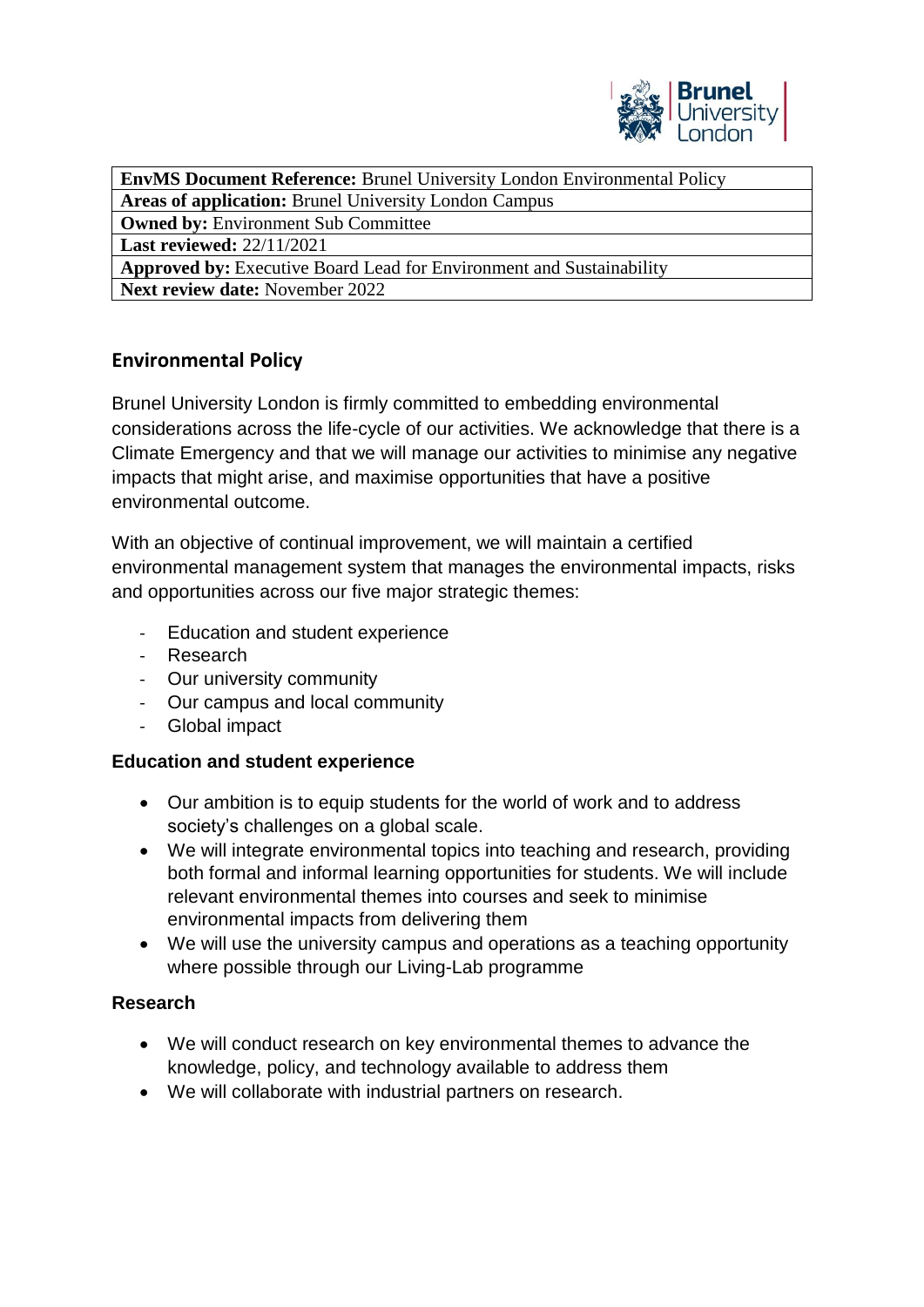

**EnvMS Document Reference:** Brunel University London Environmental Policy

**Areas of application:** Brunel University London Campus

**Owned by:** Environment Sub Committee

**Last reviewed:** 22/11/2021

**Approved by:** Executive Board Lead for Environment and Sustainability **Next review date:** November 2022

# **Environmental Policy**

Brunel University London is firmly committed to embedding environmental considerations across the life-cycle of our activities. We acknowledge that there is a Climate Emergency and that we will manage our activities to minimise any negative impacts that might arise, and maximise opportunities that have a positive environmental outcome.

With an objective of continual improvement, we will maintain a certified environmental management system that manages the environmental impacts, risks and opportunities across our five major strategic themes:

- Education and student experience
- Research
- Our university community
- Our campus and local community
- Global impact

## **Education and student experience**

- Our ambition is to equip students for the world of work and to address society's challenges on a global scale.
- We will integrate environmental topics into teaching and research, providing both formal and informal learning opportunities for students. We will include relevant environmental themes into courses and seek to minimise environmental impacts from delivering them
- We will use the university campus and operations as a teaching opportunity where possible through our Living-Lab programme

## **Research**

- We will conduct research on key environmental themes to advance the knowledge, policy, and technology available to address them
- We will collaborate with industrial partners on research.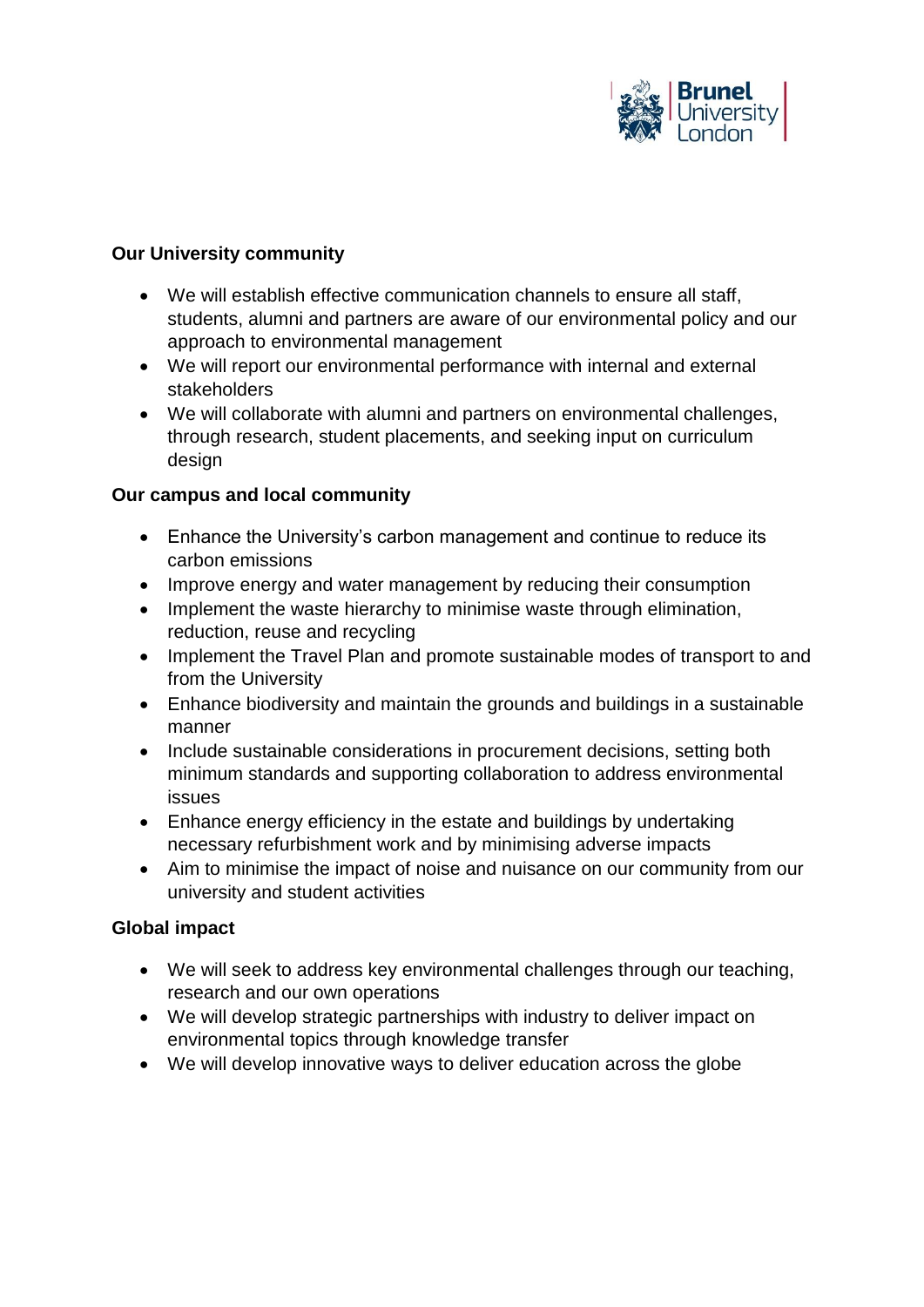

#### **Our University community**

- We will establish effective communication channels to ensure all staff, students, alumni and partners are aware of our environmental policy and our approach to environmental management
- We will report our environmental performance with internal and external stakeholders
- We will collaborate with alumni and partners on environmental challenges, through research, student placements, and seeking input on curriculum design

#### **Our campus and local community**

- Enhance the University's carbon management and continue to reduce its carbon emissions
- Improve energy and water management by reducing their consumption
- Implement the waste hierarchy to minimise waste through elimination, reduction, reuse and recycling
- Implement the Travel Plan and promote sustainable modes of transport to and from the University
- Enhance biodiversity and maintain the grounds and buildings in a sustainable manner
- Include sustainable considerations in procurement decisions, setting both minimum standards and supporting collaboration to address environmental issues
- Enhance energy efficiency in the estate and buildings by undertaking necessary refurbishment work and by minimising adverse impacts
- Aim to minimise the impact of noise and nuisance on our community from our university and student activities

## **Global impact**

- We will seek to address key environmental challenges through our teaching, research and our own operations
- We will develop strategic partnerships with industry to deliver impact on environmental topics through knowledge transfer
- We will develop innovative ways to deliver education across the globe